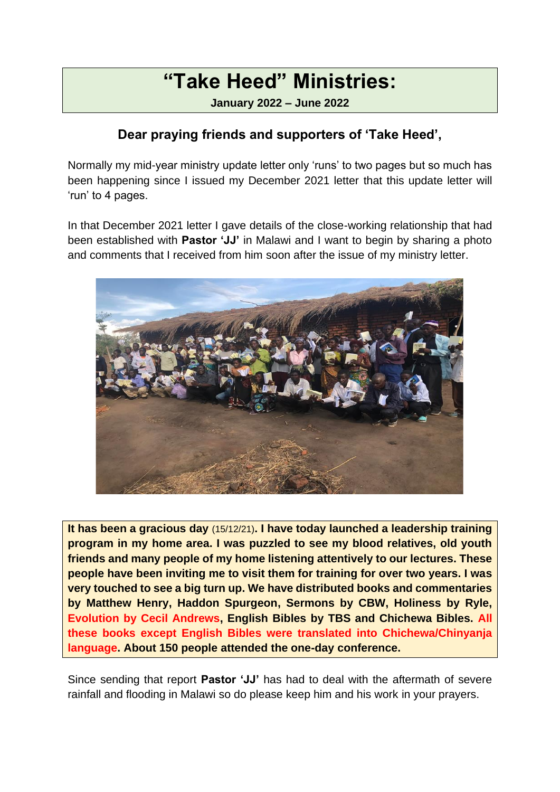# **"Take Heed" Ministries:**

**January 2022 – June 2022**

#### **Dear praying friends and supporters of 'Take Heed',**

Normally my mid-year ministry update letter only 'runs' to two pages but so much has been happening since I issued my December 2021 letter that this update letter will 'run' to 4 pages.

In that December 2021 letter I gave details of the close-working relationship that had been established with **Pastor 'JJ'** in Malawi and I want to begin by sharing a photo and comments that I received from him soon after the issue of my ministry letter.



**It has been a gracious day** (15/12/21)**. I have today launched a leadership training program in my home area. I was puzzled to see my blood relatives, old youth friends and many people of my home listening attentively to our lectures. These people have been inviting me to visit them for training for over two years. I was very touched to see a big turn up. We have distributed books and commentaries by Matthew Henry, Haddon Spurgeon, Sermons by CBW, Holiness by Ryle, Evolution by Cecil Andrews, English Bibles by TBS and Chichewa Bibles. All these books except English Bibles were translated into Chichewa/Chinyanja language. About 150 people attended the one-day conference.**

Since sending that report **Pastor 'JJ'** has had to deal with the aftermath of severe rainfall and flooding in Malawi so do please keep him and his work in your prayers.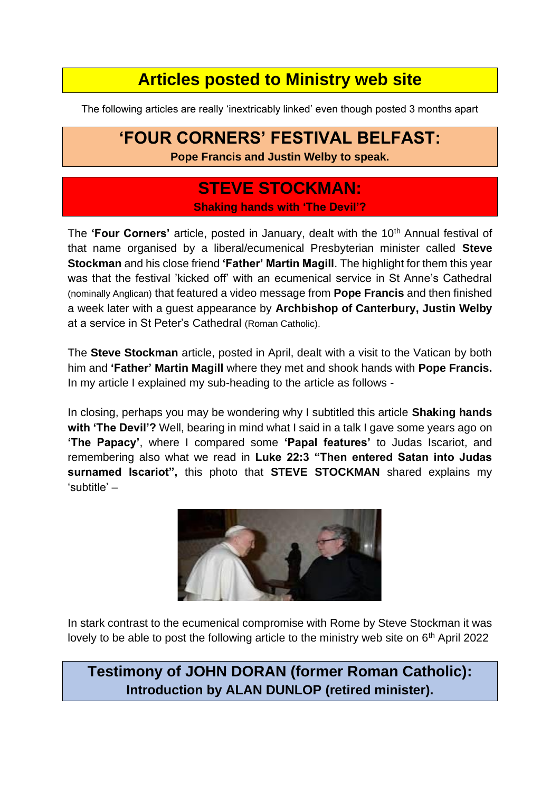### **Articles posted to Ministry web site**

The following articles are really 'inextricably linked' even though posted 3 months apart

## **'FOUR CORNERS' FESTIVAL BELFAST:**

**Pope Francis and Justin Welby to speak.**

#### **STEVE STOCKMAN: Shaking hands with 'The Devil'?**

The **'Four Corners'** article, posted in January, dealt with the 10<sup>th</sup> Annual festival of that name organised by a liberal/ecumenical Presbyterian minister called **Steve Stockman** and his close friend **'Father' Martin Magill**. The highlight for them this year was that the festival 'kicked off' with an ecumenical service in St Anne's Cathedral (nominally Anglican) that featured a video message from **Pope Francis** and then finished a week later with a guest appearance by **Archbishop of Canterbury, Justin Welby** at a service in St Peter's Cathedral (Roman Catholic).

The **Steve Stockman** article, posted in April, dealt with a visit to the Vatican by both him and **'Father' Martin Magill** where they met and shook hands with **Pope Francis.**  In my article I explained my sub-heading to the article as follows -

In closing, perhaps you may be wondering why I subtitled this article **Shaking hands with 'The Devil'?** Well, bearing in mind what I said in a talk I gave some years ago on **'The Papacy'**, where I compared some **'Papal features'** to Judas Iscariot, and remembering also what we read in **Luke 22:3 "Then entered Satan into Judas surnamed Iscariot",** this photo that **STEVE STOCKMAN** shared explains my 'subtitle' –



In stark contrast to the ecumenical compromise with Rome by Steve Stockman it was lovely to be able to post the following article to the ministry web site on  $6<sup>th</sup>$  April 2022

**Testimony of JOHN DORAN (former Roman Catholic): Introduction by ALAN DUNLOP (retired minister).**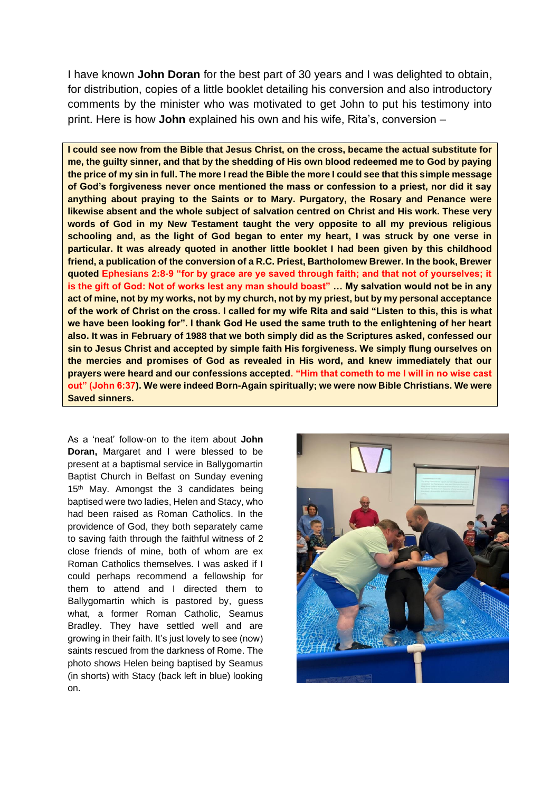I have known **John Doran** for the best part of 30 years and I was delighted to obtain, for distribution, copies of a little booklet detailing his conversion and also introductory comments by the minister who was motivated to get John to put his testimony into print. Here is how **John** explained his own and his wife, Rita's, conversion –

**I could see now from the Bible that Jesus Christ, on the cross, became the actual substitute for me, the guilty sinner, and that by the shedding of His own blood redeemed me to God by paying the price of my sin in full. The more I read the Bible the more I could see that this simple message of God's forgiveness never once mentioned the mass or confession to a priest, nor did it say anything about praying to the Saints or to Mary. Purgatory, the Rosary and Penance were likewise absent and the whole subject of salvation centred on Christ and His work. These very words of God in my New Testament taught the very opposite to all my previous religious schooling and, as the light of God began to enter my heart, I was struck by one verse in particular. It was already quoted in another little booklet I had been given by this childhood friend, a publication of the conversion of a R.C. Priest, Bartholomew Brewer. In the book, Brewer quoted Ephesians 2:8-9 "for by grace are ye saved through faith; and that not of yourselves; it is the gift of God: Not of works lest any man should boast" … My salvation would not be in any act of mine, not by my works, not by my church, not by my priest, but by my personal acceptance of the work of Christ on the cross. I called for my wife Rita and said "Listen to this, this is what we have been looking for". I thank God He used the same truth to the enlightening of her heart also. It was in February of 1988 that we both simply did as the Scriptures asked, confessed our sin to Jesus Christ and accepted by simple faith His forgiveness. We simply flung ourselves on the mercies and promises of God as revealed in His word, and knew immediately that our prayers were heard and our confessions accepted. "Him that cometh to me I will in no wise cast out" (John 6:37). We were indeed Born-Again spiritually; we were now Bible Christians. We were Saved sinners.**

As a 'neat' follow-on to the item about **John Doran.** Margaret and I were blessed to be present at a baptismal service in Ballygomartin Baptist Church in Belfast on Sunday evening 15<sup>th</sup> May. Amongst the 3 candidates being baptised were two ladies, Helen and Stacy, who had been raised as Roman Catholics. In the providence of God, they both separately came to saving faith through the faithful witness of 2 close friends of mine, both of whom are ex Roman Catholics themselves. I was asked if I could perhaps recommend a fellowship for them to attend and I directed them to Ballygomartin which is pastored by, guess what, a former Roman Catholic, Seamus Bradley. They have settled well and are growing in their faith. It's just lovely to see (now) saints rescued from the darkness of Rome. The photo shows Helen being baptised by Seamus (in shorts) with Stacy (back left in blue) looking on.